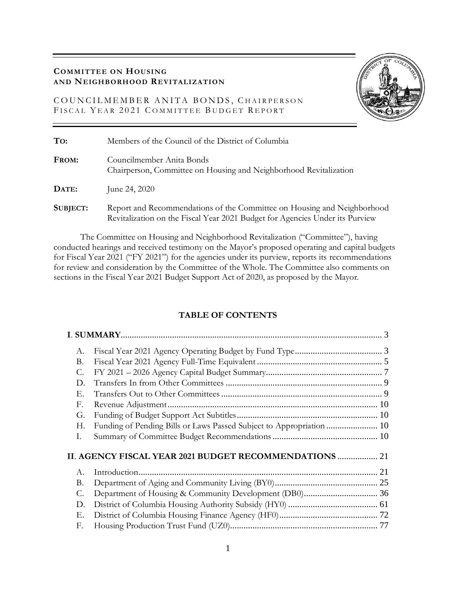# **COMMITTEE ON HOUSING AND NEIGHBORHOOD REVITALIZATION**

COUNCILMEMBER ANITA BONDS, CHAIRPERSON FISCAL YEAR 2021 COMMITTEE BUDGET REPORT



| To:      | Members of the Council of the District of Columbia                                                                                                      |
|----------|---------------------------------------------------------------------------------------------------------------------------------------------------------|
| FROM:    | Councilmember Anita Bonds<br>Chairperson, Committee on Housing and Neighborhood Revitalization                                                          |
| DATE:    | June 24, 2020                                                                                                                                           |
| SUBJECT: | Report and Recommendations of the Committee on Housing and Neighborhood<br>Revitalization on the Fiscal Year 2021 Budget for Agencies Under its Purview |

The Committee on Housing and Neighborhood Revitalization ("Committee"), having conducted hearings and received testimony on the Mayor's proposed operating and capital budgets for Fiscal Year 2021 ("FY 2021") for the agencies under its purview, reports its recommendations for review and consideration by the Committee of the Whole. The Committee also comments on sections in the Fiscal Year 2021 Budget Support Act of 2020, as proposed by the Mayor.

# **TABLE OF CONTENTS**

| A.        |                                                                      |  |
|-----------|----------------------------------------------------------------------|--|
| В.        |                                                                      |  |
| C.        |                                                                      |  |
| D.        |                                                                      |  |
| Е.        |                                                                      |  |
| F.        |                                                                      |  |
| G.        |                                                                      |  |
| Н.        | Funding of Pending Bills or Laws Passed Subject to Appropriation  10 |  |
| Ι.        |                                                                      |  |
|           | II. AGENCY FISCAL YEAR 2021 BUDGET RECOMMENDATIONS  21               |  |
| А.        |                                                                      |  |
| <b>B.</b> |                                                                      |  |
| C.        | Department of Housing & Community Development (DB0) 36               |  |
| D.        |                                                                      |  |
| Е.        |                                                                      |  |
| F.        |                                                                      |  |
|           |                                                                      |  |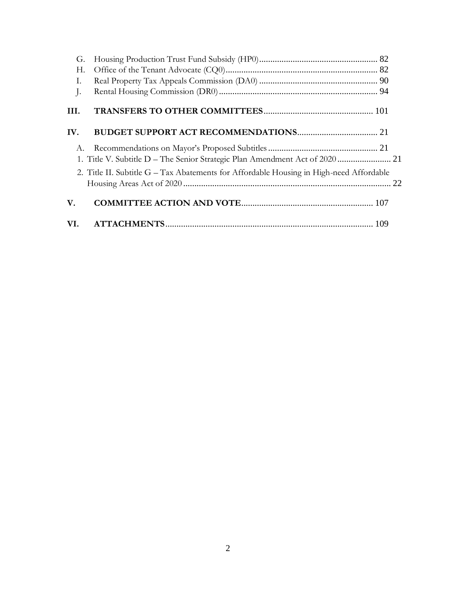| G.   |                                                                                         |  |
|------|-----------------------------------------------------------------------------------------|--|
| Н.   |                                                                                         |  |
| Ι.   |                                                                                         |  |
| J.   |                                                                                         |  |
| III. |                                                                                         |  |
| IV.  |                                                                                         |  |
| A.   |                                                                                         |  |
|      | 1. Title V. Subtitle D - The Senior Strategic Plan Amendment Act of 2020  21            |  |
|      | 2. Title II. Subtitle G - Tax Abatements for Affordable Housing in High-need Affordable |  |
| V.   |                                                                                         |  |
| VI.  |                                                                                         |  |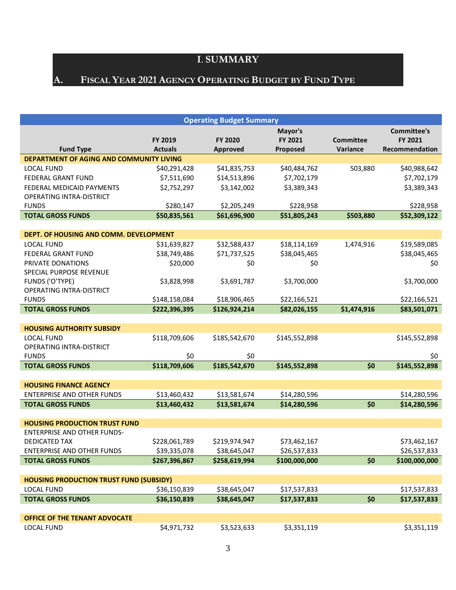# **I**. **SUMMARY**



# <span id="page-2-1"></span><span id="page-2-0"></span>**A. FISCAL YEAR 2021 AGENCY OPERATING BUDGET BY FUND TYPE**

|                                                |                | <b>Operating Budget Summary</b> |               |                  |                    |
|------------------------------------------------|----------------|---------------------------------|---------------|------------------|--------------------|
|                                                |                |                                 | Mayor's       |                  | <b>Committee's</b> |
|                                                | <b>FY 2019</b> | <b>FY 2020</b>                  | FY 2021       | <b>Committee</b> | FY 2021            |
| <b>Fund Type</b>                               | <b>Actuals</b> | <b>Approved</b>                 | Proposed      | Variance         | Recommendation     |
| DEPARTMENT OF AGING AND COMMUNITY LIVING       |                |                                 |               |                  |                    |
| <b>LOCAL FUND</b>                              | \$40,291,428   | \$41,835,753                    | \$40,484,762  | 503,880          | \$40,988,642       |
| <b>FEDERAL GRANT FUND</b>                      | \$7,511,690    | \$14,513,896                    | \$7,702,179   |                  | \$7,702,179        |
| FEDERAL MEDICAID PAYMENTS                      | \$2,752,297    | \$3,142,002                     | \$3,389,343   |                  | \$3,389,343        |
| <b>OPERATING INTRA-DISTRICT</b>                |                |                                 |               |                  |                    |
| <b>FUNDS</b>                                   | \$280,147      | \$2,205,249                     | \$228,958     |                  | \$228,958          |
| <b>TOTAL GROSS FUNDS</b>                       | \$50,835,561   | \$61,696,900                    | \$51,805,243  | \$503,880        | \$52,309,122       |
|                                                |                |                                 |               |                  |                    |
| DEPT. OF HOUSING AND COMM. DEVELOPMENT         |                |                                 |               |                  |                    |
| <b>LOCAL FUND</b>                              | \$31,639,827   | \$32,588,437                    | \$18,114,169  | 1,474,916        | \$19,589,085       |
| FEDERAL GRANT FUND                             | \$38,749,486   | \$71,737,525                    | \$38,045,465  |                  | \$38,045,465       |
| PRIVATE DONATIONS                              | \$20,000       | \$0                             | \$0           |                  | \$0                |
| SPECIAL PURPOSE REVENUE                        |                |                                 |               |                  |                    |
| <b>FUNDS ('O'TYPE)</b>                         | \$3,828,998    | \$3,691,787                     | \$3,700,000   |                  | \$3,700,000        |
| OPERATING INTRA-DISTRICT                       |                |                                 |               |                  |                    |
| <b>FUNDS</b>                                   | \$148,158,084  | \$18,906,465                    | \$22,166,521  |                  | \$22,166,521       |
| <b>TOTAL GROSS FUNDS</b>                       | \$222,396,395  | \$126,924,214                   | \$82,026,155  | \$1,474,916      | \$83,501,071       |
|                                                |                |                                 |               |                  |                    |
| <b>HOUSING AUTHORITY SUBSIDY</b>               |                |                                 |               |                  |                    |
| <b>LOCAL FUND</b>                              | \$118,709,606  | \$185,542,670                   | \$145,552,898 |                  | \$145,552,898      |
| <b>OPERATING INTRA-DISTRICT</b>                |                |                                 |               |                  |                    |
| <b>FUNDS</b>                                   | \$0            | \$0                             |               |                  | \$0                |
| <b>TOTAL GROSS FUNDS</b>                       | \$118,709,606  | \$185,542,670                   | \$145,552,898 | \$0              | \$145,552,898      |
|                                                |                |                                 |               |                  |                    |
| <b>HOUSING FINANCE AGENCY</b>                  |                |                                 |               |                  |                    |
| <b>ENTERPRISE AND OTHER FUNDS</b>              | \$13,460,432   | \$13,581,674                    | \$14,280,596  |                  | \$14,280,596       |
| <b>TOTAL GROSS FUNDS</b>                       | \$13,460,432   | \$13,581,674                    | \$14,280,596  | \$0              | \$14,280,596       |
|                                                |                |                                 |               |                  |                    |
| <b>HOUSING PRODUCTION TRUST FUND</b>           |                |                                 |               |                  |                    |
| <b>ENTERPRISE AND OTHER FUNDS-</b>             |                |                                 |               |                  |                    |
| <b>DEDICATED TAX</b>                           | \$228,061,789  | \$219,974,947                   | \$73,462,167  |                  | \$73,462,167       |
| <b>ENTERPRISE AND OTHER FUNDS</b>              | \$39,335,078   | \$38,645,047                    | \$26,537,833  |                  | \$26,537,833       |
| <b>TOTAL GROSS FUNDS</b>                       | \$267,396,867  | \$258,619,994                   | \$100,000,000 | \$0              | \$100,000,000      |
|                                                |                |                                 |               |                  |                    |
| <b>HOUSING PRODUCTION TRUST FUND (SUBSIDY)</b> |                |                                 |               |                  |                    |
| <b>LOCAL FUND</b>                              | \$36,150,839   | \$38,645,047                    | \$17,537,833  |                  | \$17,537,833       |
| <b>TOTAL GROSS FUNDS</b>                       | \$36,150,839   | \$38,645,047                    | \$17,537,833  | \$0              | \$17,537,833       |
|                                                |                |                                 |               |                  |                    |
| OFFICE OF THE TENANT ADVOCATE                  |                |                                 |               |                  |                    |
| <b>LOCAL FUND</b>                              | \$4,971,732    | \$3,523,633                     | \$3,351,119   |                  | \$3,351,119        |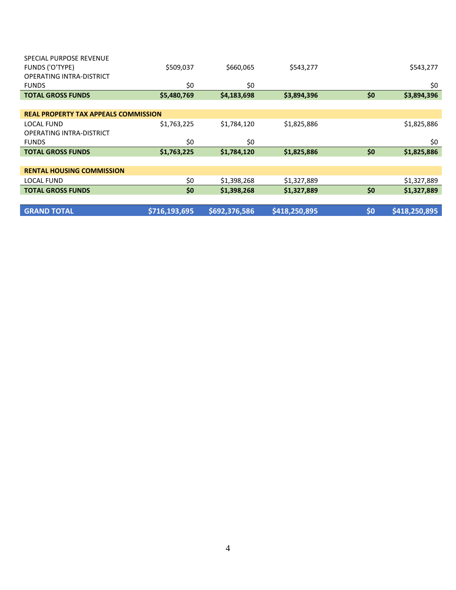| \$509,037                                   | \$660,065   | \$543,277   |     | \$543,277   |
|---------------------------------------------|-------------|-------------|-----|-------------|
|                                             |             |             |     |             |
| \$0                                         | \$0         |             |     | \$0         |
| \$5,480,769                                 | \$4,183,698 | \$3,894,396 | \$0 | \$3,894,396 |
|                                             |             |             |     |             |
| <b>REAL PROPERTY TAX APPEALS COMMISSION</b> |             |             |     |             |
| \$1,763,225                                 | \$1,784,120 | \$1,825,886 |     | \$1,825,886 |
|                                             |             |             |     |             |
| \$0                                         | \$0         |             |     | \$0         |
| \$1,763,225                                 | \$1,784,120 | \$1,825,886 | \$0 | \$1,825,886 |
|                                             |             |             |     |             |
|                                             |             |             |     |             |
| \$0                                         | \$1,398,268 | \$1,327,889 |     | \$1,327,889 |
| \$0                                         | \$1,398,268 | \$1,327,889 | \$0 | \$1,327,889 |
|                                             |             |             |     |             |
|                                             |             |             |     |             |
|                                             |             |             |     |             |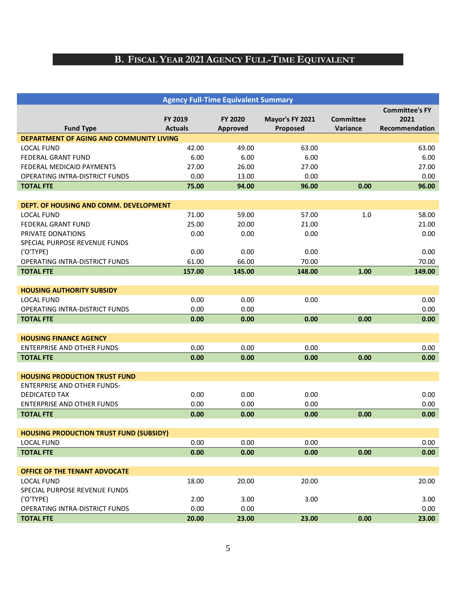# **B. FISCAL YEAR 2021 AGENCY FULL-TIME EQUIVALENT**

<span id="page-4-0"></span>

|                                                 |                           | <b>Agency Full-Time Equivalent Summary</b> |                             |                              |                                                 |
|-------------------------------------------------|---------------------------|--------------------------------------------|-----------------------------|------------------------------|-------------------------------------------------|
| <b>Fund Type</b>                                | FY 2019<br><b>Actuals</b> | <b>FY 2020</b><br>Approved                 | Mayor's FY 2021<br>Proposed | <b>Committee</b><br>Variance | <b>Committee's FY</b><br>2021<br>Recommendation |
| <b>DEPARTMENT OF AGING AND COMMUNITY LIVING</b> |                           |                                            |                             |                              |                                                 |
| <b>LOCAL FUND</b>                               | 42.00                     | 49.00                                      | 63.00                       |                              | 63.00                                           |
| <b>FEDERAL GRANT FUND</b>                       | 6.00                      | 6.00                                       | 6.00                        |                              | 6.00                                            |
| FEDERAL MEDICAID PAYMENTS                       | 27.00                     | 26.00                                      | 27.00                       |                              | 27.00                                           |
| <b>OPERATING INTRA-DISTRICT FUNDS</b>           | 0.00                      | 13.00                                      | 0.00                        |                              | 0.00                                            |
| <b>TOTAL FTE</b>                                | 75.00                     | 94.00                                      | 96.00                       | 0.00                         | 96.00                                           |
|                                                 |                           |                                            |                             |                              |                                                 |
| DEPT. OF HOUSING AND COMM. DEVELOPMENT          |                           |                                            |                             |                              |                                                 |
| <b>LOCAL FUND</b>                               | 71.00                     | 59.00                                      | 57.00                       | 1.0                          | 58.00                                           |
| <b>FEDERAL GRANT FUND</b>                       | 25.00                     | 20.00                                      | 21.00                       |                              | 21.00                                           |
| PRIVATE DONATIONS                               | 0.00                      | 0.00                                       | 0.00                        |                              | 0.00                                            |
| SPECIAL PURPOSE REVENUE FUNDS                   |                           |                                            |                             |                              |                                                 |
| ('O'TYPE)                                       | 0.00                      | 0.00                                       | 0.00                        |                              | 0.00                                            |
| OPERATING INTRA-DISTRICT FUNDS                  | 61.00                     | 66.00                                      | 70.00                       |                              | 70.00                                           |
| <b>TOTAL FTE</b>                                | 157.00                    | 145.00                                     | 148.00                      | 1.00                         | 149.00                                          |
| <b>HOUSING AUTHORITY SUBSIDY</b>                |                           |                                            |                             |                              |                                                 |
| <b>LOCAL FUND</b>                               | 0.00                      | 0.00                                       | 0.00                        |                              | 0.00                                            |
| OPERATING INTRA-DISTRICT FUNDS                  | 0.00                      | 0.00                                       |                             |                              | 0.00                                            |
| <b>TOTAL FTE</b>                                | 0.00                      | 0.00                                       | 0.00                        | 0.00                         | 0.00                                            |
|                                                 |                           |                                            |                             |                              |                                                 |
| <b>HOUSING FINANCE AGENCY</b>                   |                           |                                            |                             |                              |                                                 |
| <b>ENTERPRISE AND OTHER FUNDS</b>               | 0.00                      | 0.00                                       | 0.00                        |                              | 0.00                                            |
| <b>TOTAL FTE</b>                                | 0.00                      | 0.00                                       | 0.00                        | 0.00                         | 0.00                                            |
|                                                 |                           |                                            |                             |                              |                                                 |
| <b>HOUSING PRODUCTION TRUST FUND</b>            |                           |                                            |                             |                              |                                                 |
| <b>ENTERPRISE AND OTHER FUNDS-</b>              |                           |                                            |                             |                              |                                                 |
| DEDICATED TAX                                   | 0.00                      | 0.00                                       | 0.00                        |                              | 0.00                                            |
| <b>ENTERPRISE AND OTHER FUNDS</b>               | 0.00                      | 0.00                                       | 0.00                        |                              | 0.00                                            |
| <b>TOTAL FTE</b>                                | 0.00                      | 0.00                                       | 0.00                        | 0.00                         | 0.00                                            |
|                                                 |                           |                                            |                             |                              |                                                 |
| <b>HOUSING PRODUCTION TRUST FUND (SUBSIDY)</b>  |                           |                                            |                             |                              |                                                 |
| <b>LOCAL FUND</b>                               | 0.00                      | 0.00                                       | 0.00                        |                              | 0.00                                            |
| <b>TOTAL FTE</b>                                | 0.00                      | 0.00                                       | 0.00                        | 0.00                         | 0.00                                            |
|                                                 |                           |                                            |                             |                              |                                                 |
| OFFICE OF THE TENANT ADVOCATE                   |                           |                                            |                             |                              |                                                 |
| <b>LOCAL FUND</b>                               | 18.00                     | 20.00                                      | 20.00                       |                              | 20.00                                           |
| SPECIAL PURPOSE REVENUE FUNDS                   |                           |                                            |                             |                              |                                                 |
| ('O'TYPE)                                       | 2.00                      | 3.00                                       | 3.00                        |                              | 3.00                                            |
| OPERATING INTRA-DISTRICT FUNDS                  | 0.00                      | 0.00                                       |                             |                              | 0.00                                            |
| <b>TOTAL FTE</b>                                | 20.00                     | 23.00                                      | 23.00                       | 0.00                         | 23.00                                           |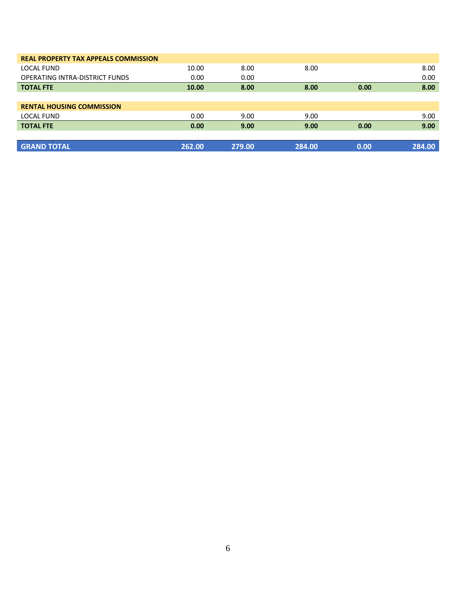| <b>REAL PROPERTY TAX APPEALS COMMISSION</b> |        |        |        |      |        |
|---------------------------------------------|--------|--------|--------|------|--------|
| LOCAL FUND                                  | 10.00  | 8.00   | 8.00   |      | 8.00   |
| <b>OPERATING INTRA-DISTRICT FUNDS</b>       | 0.00   | 0.00   |        |      | 0.00   |
| <b>TOTAL FTE</b>                            | 10.00  | 8.00   | 8.00   | 0.00 | 8.00   |
|                                             |        |        |        |      |        |
| <b>RENTAL HOUSING COMMISSION</b>            |        |        |        |      |        |
| LOCAL FUND                                  | 0.00   | 9.00   | 9.00   |      | 9.00   |
| <b>TOTAL FTE</b>                            | 0.00   | 9.00   | 9.00   | 0.00 | 9.00   |
|                                             |        |        |        |      |        |
| <b>GRAND TOTAL</b>                          | 262.00 | 279.00 | 284.00 | 0.00 | 284.00 |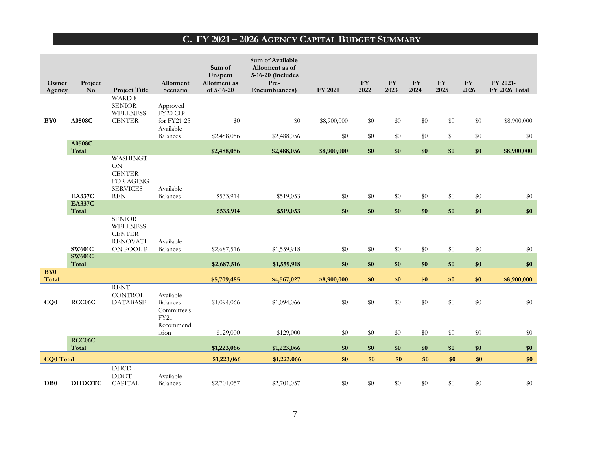# **C. FY 2021 – 2026 AGENCY CAPITAL BUDGET SUMMARY**

<span id="page-6-0"></span>

| Owner<br>Agency  | Project<br>$\mathbf{N}\mathbf{o}$ | <b>Project Title</b>                                                              | Allotment<br>Scenario                                                   | Sum of<br>Unspent<br>Allotment as<br>of 5-16-20 | Sum of Available<br>Allotment as of<br>5-16-20 (includes<br>Pre-<br>Encumbrances) | FY 2021            | ${\bf F}{\bf Y}$<br>2022 | ${\bf F}{\bf Y}$<br>2023 | <b>FY</b><br>2024 | ${\bf F}{\bf Y}$<br>2025 | ${\bf F}{\bf Y}$<br>2026 | FY 2021-<br>FY 2026 Total |
|------------------|-----------------------------------|-----------------------------------------------------------------------------------|-------------------------------------------------------------------------|-------------------------------------------------|-----------------------------------------------------------------------------------|--------------------|--------------------------|--------------------------|-------------------|--------------------------|--------------------------|---------------------------|
| BY <sub>0</sub>  | A0508C                            | WARD 8<br><b>SENIOR</b><br><b>WELLNESS</b><br><b>CENTER</b>                       | Approved<br>FY20 CIP<br>for FY21-25<br>Available                        | \$0                                             | \$0                                                                               | \$8,900,000        | $\$0$                    | \$0                      | $\$0$             | $\$0$                    | \$0                      | \$8,900,000               |
|                  | A0508C<br>Total                   |                                                                                   | <b>Balances</b>                                                         | \$2,488,056<br>\$2,488,056                      | \$2,488,056<br>\$2,488,056                                                        | \$0<br>\$8,900,000 | $\$0$<br>\$0             | \$0<br>\$0               | $\$0$<br>\$0      | $\$0$<br>\$0             | $\$0$<br>\$0             | \$0<br>\$8,900,000        |
|                  | <b>EA337C</b>                     | WASHINGT<br>ON<br><b>CENTER</b><br>FOR AGING<br><b>SERVICES</b><br><b>REN</b>     | Available<br><b>Balances</b>                                            | \$533,914                                       | \$519,053                                                                         | \$0                | $\$0$                    | \$0                      | $\$0$             | $\$0$                    | \$0                      | $\$0$                     |
|                  | <b>EA337C</b><br>Total            |                                                                                   |                                                                         |                                                 |                                                                                   | \$0                | \$0                      | \$0                      | \$0               | \$0                      | \$0                      | \$0                       |
|                  | <b>SW601C</b><br><b>SW601C</b>    | <b>SENIOR</b><br><b>WELLNESS</b><br><b>CENTER</b><br><b>RENOVATI</b><br>ON POOL P | Available<br><b>Balances</b>                                            | \$533,914<br>\$2,687,516                        | \$519,053<br>\$1,559,918                                                          | $\$0$              | $\$0$                    | \$0                      | $\$0$             | $\$0$                    | \$0                      | $\$0$                     |
| <b>BY0</b>       | Total                             |                                                                                   |                                                                         | \$2,687,516                                     | \$1,559,918                                                                       | \$0                | \$0                      | \$0                      | \$0               | $\$0$                    | $\$0$                    | \$0                       |
| Total            |                                   |                                                                                   |                                                                         | \$5,709,485                                     | \$4,567,027                                                                       | \$8,900,000        | \$0                      | \$0                      | \$0               | \$0                      | \$0                      | \$8,900,000               |
| CQ0              | RCC06C                            | <b>RENT</b><br><b>CONTROL</b><br><b>DATABASE</b>                                  | Available<br><b>Balances</b><br>Committee's<br><b>FY21</b><br>Recommend | \$1,094,066                                     | \$1,094,066                                                                       | \$0                | $\$0$                    | \$0                      | \$0               | $\$0$                    | \$0                      | \$0                       |
|                  |                                   |                                                                                   | ation                                                                   | \$129,000                                       | \$129,000                                                                         | \$0                | $\$0$                    | \$0                      | $\$0$             | $\$0$                    | \$0                      | $\$0$                     |
|                  | RCC06C<br>Total                   |                                                                                   |                                                                         | \$1,223,066                                     | \$1,223,066                                                                       | \$0                | \$0                      | \$0                      | \$0               | \$0                      | \$0                      | \$0                       |
| <b>CQ0</b> Total |                                   |                                                                                   |                                                                         | \$1,223,066                                     | \$1,223,066                                                                       | \$0                | \$0                      | \$0                      | \$0               | \$0                      | \$0                      | \$0                       |
| D <sub>B0</sub>  | <b>DHDOTC</b>                     | DHCD-<br><b>DDOT</b><br><b>CAPITAL</b>                                            | Available<br><b>Balances</b>                                            | \$2,701,057                                     | \$2,701,057                                                                       | \$0                | \$0                      | \$0                      | \$0               | \$0                      | \$0                      | $\$0$                     |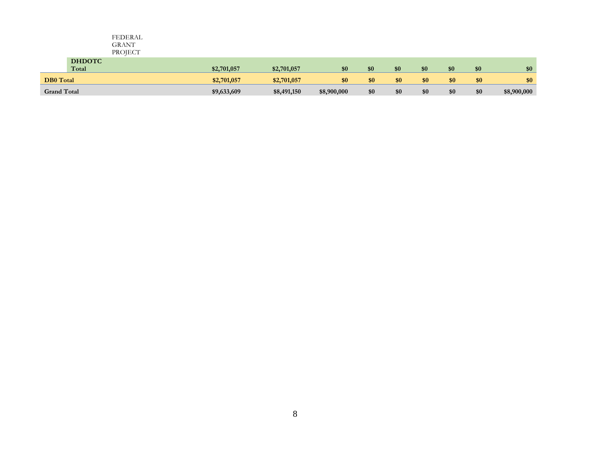|                    |                        | FEDERAL<br>GRANT<br>PROJECT |             |             |             |     |     |     |     |     |             |
|--------------------|------------------------|-----------------------------|-------------|-------------|-------------|-----|-----|-----|-----|-----|-------------|
|                    | <b>DHDOTC</b><br>Total |                             | \$2,701,057 | \$2,701,057 | \$0         | \$0 | \$0 | \$0 | \$0 | \$0 | \$0         |
| <b>DB0</b> Total   |                        |                             | \$2,701,057 | \$2,701,057 | \$0         | \$0 | \$0 | \$0 | \$0 | \$0 | \$0         |
| <b>Grand Total</b> |                        |                             | \$9,633,609 | \$8,491,150 | \$8,900,000 | \$0 | \$0 | \$0 | \$0 | \$0 | \$8,900,000 |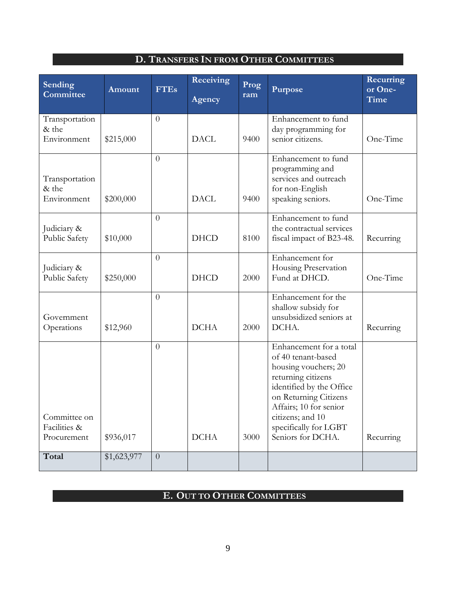# **D. TRANSFERS IN FROM OTHER COMMITTEES**

<span id="page-8-0"></span>

| Sending<br>Committee                        | Amount      | <b>FTEs</b>    | Receiving<br>Agency | Prog<br>ram | Purpose                                                                                                                                                                                                                                      | Recurring<br>or One-<br>Time |
|---------------------------------------------|-------------|----------------|---------------------|-------------|----------------------------------------------------------------------------------------------------------------------------------------------------------------------------------------------------------------------------------------------|------------------------------|
| Transportation<br>& the<br>Environment      | \$215,000   | $\overline{0}$ | <b>DACL</b>         | 9400        | Enhancement to fund<br>day programming for<br>senior citizens.                                                                                                                                                                               | One-Time                     |
| Transportation<br>& the<br>Environment      | \$200,000   | $\overline{0}$ | <b>DACL</b>         | 9400        | Enhancement to fund<br>programming and<br>services and outreach<br>for non-English<br>speaking seniors.                                                                                                                                      | One-Time                     |
| Judiciary &<br>Public Safety                | \$10,000    | $\theta$       | <b>DHCD</b>         | 8100        | Enhancement to fund<br>the contractual services<br>fiscal impact of B23-48.                                                                                                                                                                  | Recurring                    |
| Judiciary &<br>Public Safety                | \$250,000   | $\overline{0}$ | <b>DHCD</b>         | 2000        | Enhancement for<br>Housing Preservation<br>Fund at DHCD.                                                                                                                                                                                     | One-Time                     |
| Government<br>Operations                    | \$12,960    | $\overline{0}$ | <b>DCHA</b>         | 2000        | Enhancement for the<br>shallow subsidy for<br>unsubsidized seniors at<br>DCHA.                                                                                                                                                               | Recurring                    |
| Committee on<br>Facilities &<br>Procurement | \$936,017   | $\overline{0}$ | <b>DCHA</b>         | 3000        | Enhancement for a total<br>of 40 tenant-based<br>housing vouchers; 20<br>returning citizens<br>identified by the Office<br>on Returning Citizens<br>Affairs; 10 for senior<br>citizens; and 10<br>specifically for LGBT<br>Seniors for DCHA. | Recurring                    |
| Total                                       | \$1,623,977 | $\overline{0}$ |                     |             |                                                                                                                                                                                                                                              |                              |

# <span id="page-8-1"></span>**E. OUT TO OTHER COMMITTEES**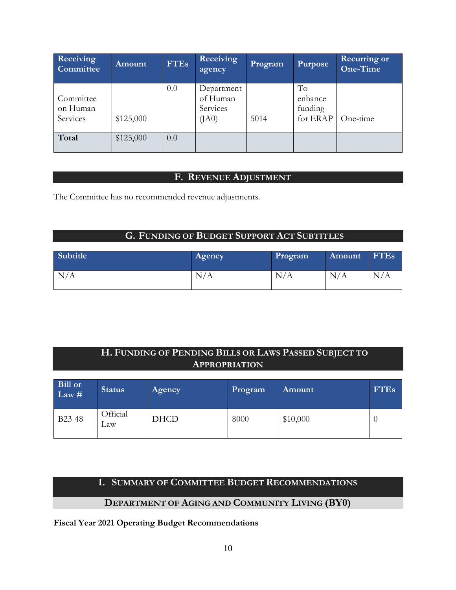| Receiving<br>Committee            | Amount    | <b>FTEs</b> | Receiving<br>agency                         | Program | Purpose                              | <b>Recurring or</b><br>One-Time |
|-----------------------------------|-----------|-------------|---------------------------------------------|---------|--------------------------------------|---------------------------------|
| Committee<br>on Human<br>Services | \$125,000 | 0.0         | Department<br>of Human<br>Services<br>(IA0) | 5014    | To<br>enhance<br>funding<br>for ERAP | One-time                        |
| Total                             | \$125,000 | 0.0         |                                             |         |                                      |                                 |

# **F. REVENUE ADJUSTMENT**

<span id="page-9-0"></span>The Committee has no recommended revenue adjustments.

# **G. FUNDING OF BUDGET SUPPORT ACT SUBTITLES**

<span id="page-9-1"></span>

| Subtitle | Agency        | Program | Amount | <b>FTEs</b> |
|----------|---------------|---------|--------|-------------|
| N/A      | N<br>$\Delta$ | N/A     | N/A    | N/A         |

# **H. FUNDING OF PENDING BILLS OR LAWS PASSED SUBJECT TO APPROPRIATION**

<span id="page-9-2"></span>

| Bill or<br>Law $#$  | <b>Status</b>   | Agency      | Program | Amount   | <b>FTEs</b> |
|---------------------|-----------------|-------------|---------|----------|-------------|
| B <sub>23</sub> -48 | Official<br>∟aw | <b>DHCD</b> | 8000    | \$10,000 |             |

# **I. SUMMARY OF COMMITTEE BUDGET RECOMMENDATIONS**

# **DEPARTMENT OF AGING AND COMMUNITY LIVING (BY0)**

<span id="page-9-3"></span>**Fiscal Year 2021 Operating Budget Recommendations**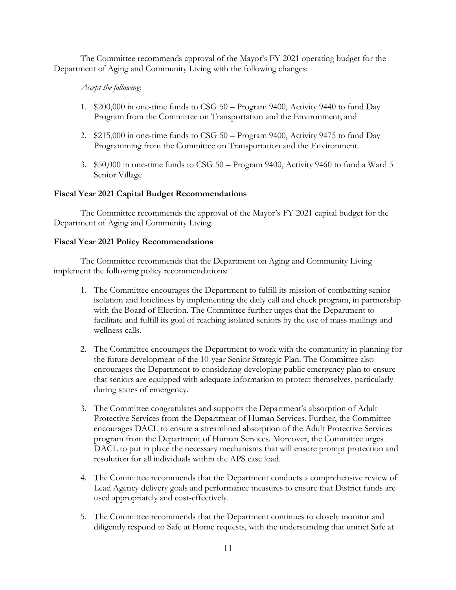The Committee recommends approval of the Mayor's FY 2021 operating budget for the Department of Aging and Community Living with the following changes:

# *Accept the following*:

- 1. \$200,000 in one-time funds to CSG 50 Program 9400, Activity 9440 to fund Day Program from the Committee on Transportation and the Environment; and
- 2. \$215,000 in one-time funds to CSG 50 Program 9400, Activity 9475 to fund Day Programming from the Committee on Transportation and the Environment.
- 3. \$50,000 in one-time funds to CSG 50 Program 9400, Activity 9460 to fund a Ward 5 Senior Village

# **Fiscal Year 2021 Capital Budget Recommendations**

The Committee recommends the approval of the Mayor's FY 2021 capital budget for the Department of Aging and Community Living.

# **Fiscal Year 2021 Policy Recommendations**

The Committee recommends that the Department on Aging and Community Living implement the following policy recommendations:

- 1. The Committee encourages the Department to fulfill its mission of combatting senior isolation and loneliness by implementing the daily call and check program, in partnership with the Board of Election. The Committee further urges that the Department to facilitate and fulfill its goal of reaching isolated seniors by the use of mass mailings and wellness calls.
- 2. The Committee encourages the Department to work with the community in planning for the future development of the 10-year Senior Strategic Plan. The Committee also encourages the Department to considering developing public emergency plan to ensure that seniors are equipped with adequate information to protect themselves, particularly during states of emergency.
- 3. The Committee congratulates and supports the Department's absorption of Adult Protective Services from the Department of Human Services. Further, the Committee encourages DACL to ensure a streamlined absorption of the Adult Protective Services program from the Department of Human Services. Moreover, the Committee urges DACL to put in place the necessary mechanisms that will ensure prompt protection and resolution for all individuals within the APS case load.
- 4. The Committee recommends that the Department conducts a comprehensive review of Lead Agency delivery goals and performance measures to ensure that District funds are used appropriately and cost-effectively.
- 5. The Committee recommends that the Department continues to closely monitor and diligently respond to Safe at Home requests, with the understanding that unmet Safe at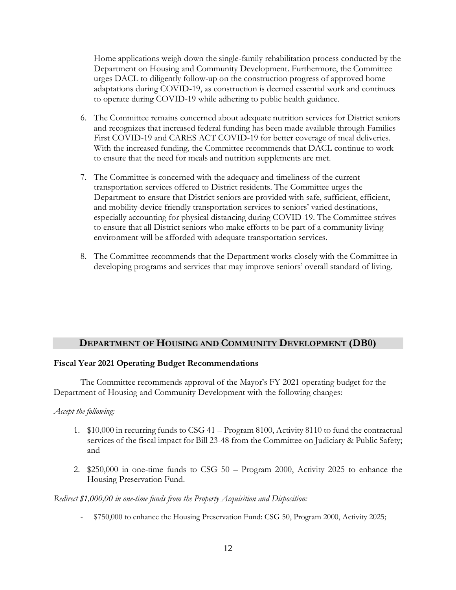Home applications weigh down the single-family rehabilitation process conducted by the Department on Housing and Community Development. Furthermore, the Committee urges DACL to diligently follow-up on the construction progress of approved home adaptations during COVID-19, as construction is deemed essential work and continues to operate during COVID-19 while adhering to public health guidance.

- 6. The Committee remains concerned about adequate nutrition services for District seniors and recognizes that increased federal funding has been made available through Families First COVID-19 and CARES ACT COVID-19 for better coverage of meal deliveries. With the increased funding, the Committee recommends that DACL continue to work to ensure that the need for meals and nutrition supplements are met.
- 7. The Committee is concerned with the adequacy and timeliness of the current transportation services offered to District residents. The Committee urges the Department to ensure that District seniors are provided with safe, sufficient, efficient, and mobility-device friendly transportation services to seniors' varied destinations, especially accounting for physical distancing during COVID-19. The Committee strives to ensure that all District seniors who make efforts to be part of a community living environment will be afforded with adequate transportation services.
- 8. The Committee recommends that the Department works closely with the Committee in developing programs and services that may improve seniors' overall standard of living.

# **DEPARTMENT OF HOUSING AND COMMUNITY DEVELOPMENT (DB0)**

### **Fiscal Year 2021 Operating Budget Recommendations**

The Committee recommends approval of the Mayor's FY 2021 operating budget for the Department of Housing and Community Development with the following changes:

### *Accept the following:*

- 1. \$10,000 in recurring funds to CSG 41 Program 8100, Activity 8110 to fund the contractual services of the fiscal impact for Bill 23-48 from the Committee on Judiciary & Public Safety; and
- 2. \$250,000 in one-time funds to CSG 50 Program 2000, Activity 2025 to enhance the Housing Preservation Fund.

### *Redirect \$1,000,00 in one-time funds from the Property Acquisition and Disposition:*

- \$750,000 to enhance the Housing Preservation Fund: CSG 50, Program 2000, Activity 2025;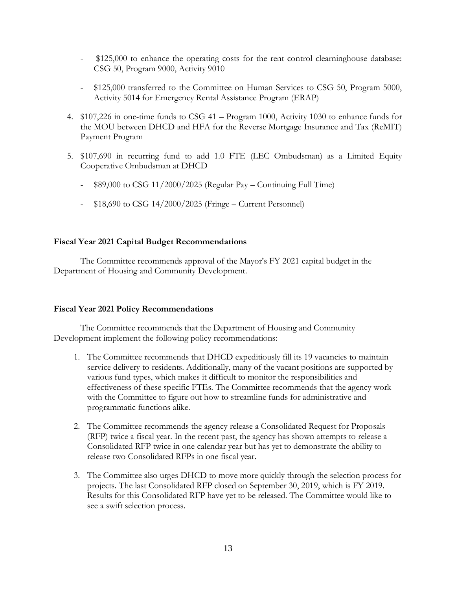- <sup>-</sup> \$125,000 to enhance the operating costs for the rent control clearninghouse database: CSG 50, Program 9000, Activity 9010
- \$125,000 transferred to the Committee on Human Services to CSG 50, Program 5000, Activity 5014 for Emergency Rental Assistance Program (ERAP)
- 4. \$107,226 in one-time funds to CSG 41 Program 1000, Activity 1030 to enhance funds for the MOU between DHCD and HFA for the Reverse Mortgage Insurance and Tax (ReMIT) Payment Program
- 5. \$107,690 in recurring fund to add 1.0 FTE (LEC Ombudsman) as a Limited Equity Cooperative Ombudsman at DHCD
	- \$89,000 to CSG 11/2000/2025 (Regular Pay Continuing Full Time)
	- \$18,690 to CSG 14/2000/2025 (Fringe Current Personnel)

### **Fiscal Year 2021 Capital Budget Recommendations**

The Committee recommends approval of the Mayor's FY 2021 capital budget in the Department of Housing and Community Development.

### **Fiscal Year 2021 Policy Recommendations**

The Committee recommends that the Department of Housing and Community Development implement the following policy recommendations:

- 1. The Committee recommends that DHCD expeditiously fill its 19 vacancies to maintain service delivery to residents. Additionally, many of the vacant positions are supported by various fund types, which makes it difficult to monitor the responsibilities and effectiveness of these specific FTEs. The Committee recommends that the agency work with the Committee to figure out how to streamline funds for administrative and programmatic functions alike.
- 2. The Committee recommends the agency release a Consolidated Request for Proposals (RFP) twice a fiscal year. In the recent past, the agency has shown attempts to release a Consolidated RFP twice in one calendar year but has yet to demonstrate the ability to release two Consolidated RFPs in one fiscal year.
- 3. The Committee also urges DHCD to move more quickly through the selection process for projects. The last Consolidated RFP closed on September 30, 2019, which is FY 2019. Results for this Consolidated RFP have yet to be released. The Committee would like to see a swift selection process.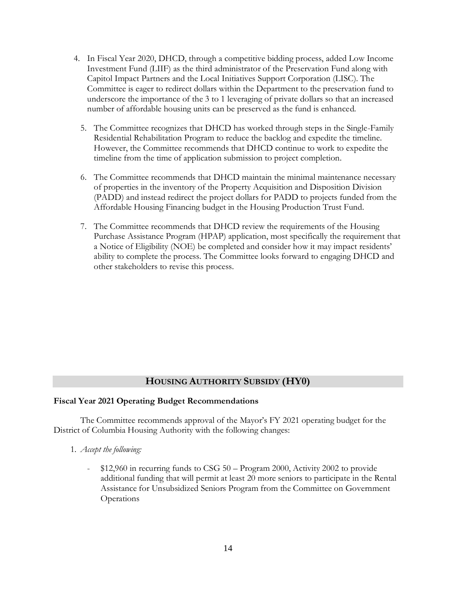- 4. In Fiscal Year 2020, DHCD, through a competitive bidding process, added Low Income Investment Fund (LIIF) as the third administrator of the Preservation Fund along with Capitol Impact Partners and the Local Initiatives Support Corporation (LISC). The Committee is eager to redirect dollars within the Department to the preservation fund to underscore the importance of the 3 to 1 leveraging of private dollars so that an increased number of affordable housing units can be preserved as the fund is enhanced.
	- 5. The Committee recognizes that DHCD has worked through steps in the Single-Family Residential Rehabilitation Program to reduce the backlog and expedite the timeline. However, the Committee recommends that DHCD continue to work to expedite the timeline from the time of application submission to project completion.
	- 6. The Committee recommends that DHCD maintain the minimal maintenance necessary of properties in the inventory of the Property Acquisition and Disposition Division (PADD) and instead redirect the project dollars for PADD to projects funded from the Affordable Housing Financing budget in the Housing Production Trust Fund.
	- 7. The Committee recommends that DHCD review the requirements of the Housing Purchase Assistance Program (HPAP) application, most specifically the requirement that a Notice of Eligibility (NOE) be completed and consider how it may impact residents' ability to complete the process. The Committee looks forward to engaging DHCD and other stakeholders to revise this process.

# **HOUSING AUTHORITY SUBSIDY (HY0)**

### **Fiscal Year 2021 Operating Budget Recommendations**

The Committee recommends approval of the Mayor's FY 2021 operating budget for the District of Columbia Housing Authority with the following changes:

- 1*. Accept the following:*
	- \$12,960 in recurring funds to CSG 50 Program 2000, Activity 2002 to provide additional funding that will permit at least 20 more seniors to participate in the Rental Assistance for Unsubsidized Seniors Program from the Committee on Government Operations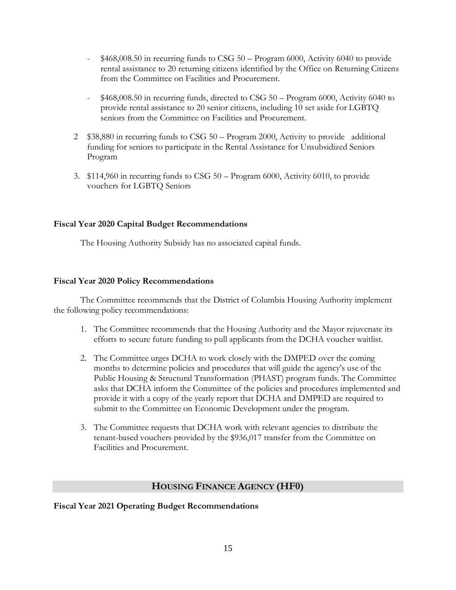- $$468,008.50$  in recurring funds to CSG  $50 -$ Program 6000, Activity 6040 to provide rental assistance to 20 returning citizens identified by the Office on Returning Citizens from the Committee on Facilities and Procurement.
- $$468,008.50$  in recurring funds, directed to CSG  $50 -$  Program 6000, Activity 6040 to provide rental assistance to 20 senior citizens, including 10 set aside for LGBTQ seniors from the Committee on Facilities and Procurement.
- 2 \$38,880 in recurring funds to CSG 50 Program 2000, Activity to provide additional funding for seniors to participate in the Rental Assistance for Unsubsidized Seniors Program
- 3. \$114,960 in recurring funds to CSG 50 Program 6000, Activity 6010, to provide vouchers for LGBTQ Seniors

### **Fiscal Year 2020 Capital Budget Recommendations**

The Housing Authority Subsidy has no associated capital funds.

### **Fiscal Year 2020 Policy Recommendations**

The Committee recommends that the District of Columbia Housing Authority implement the following policy recommendations:

- 1. The Committee recommends that the Housing Authority and the Mayor rejuvenate its efforts to secure future funding to pull applicants from the DCHA voucher waitlist.
- 2. The Committee urges DCHA to work closely with the DMPED over the coming months to determine policies and procedures that will guide the agency's use of the Public Housing & Structural Transformation (PHAST) program funds. The Committee asks that DCHA inform the Committee of the policies and procedures implemented and provide it with a copy of the yearly report that DCHA and DMPED are required to submit to the Committee on Economic Development under the program.
- 3. The Committee requests that DCHA work with relevant agencies to distribute the tenant-based vouchers provided by the \$936,017 transfer from the Committee on Facilities and Procurement.

# **HOUSING FINANCE AGENCY (HF0)**

# **Fiscal Year 2021 Operating Budget Recommendations**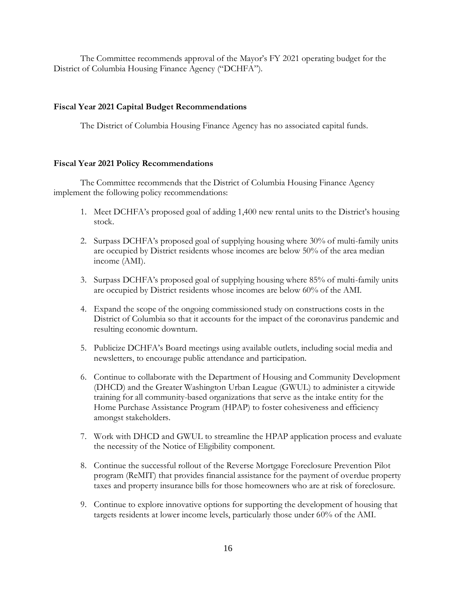The Committee recommends approval of the Mayor's FY 2021 operating budget for the District of Columbia Housing Finance Agency ("DCHFA").

### **Fiscal Year 2021 Capital Budget Recommendations**

The District of Columbia Housing Finance Agency has no associated capital funds.

### **Fiscal Year 2021 Policy Recommendations**

The Committee recommends that the District of Columbia Housing Finance Agency implement the following policy recommendations:

- 1. Meet DCHFA's proposed goal of adding 1,400 new rental units to the District's housing stock.
- 2. Surpass DCHFA's proposed goal of supplying housing where 30% of multi-family units are occupied by District residents whose incomes are below 50% of the area median income (AMI).
- 3. Surpass DCHFA's proposed goal of supplying housing where 85% of multi-family units are occupied by District residents whose incomes are below 60% of the AMI.
- 4. Expand the scope of the ongoing commissioned study on constructions costs in the District of Columbia so that it accounts for the impact of the coronavirus pandemic and resulting economic downturn.
- 5. Publicize DCHFA's Board meetings using available outlets, including social media and newsletters, to encourage public attendance and participation.
- 6. Continue to collaborate with the Department of Housing and Community Development (DHCD) and the Greater Washington Urban League (GWUL) to administer a citywide training for all community-based organizations that serve as the intake entity for the Home Purchase Assistance Program (HPAP) to foster cohesiveness and efficiency amongst stakeholders.
- 7. Work with DHCD and GWUL to streamline the HPAP application process and evaluate the necessity of the Notice of Eligibility component.
- 8. Continue the successful rollout of the Reverse Mortgage Foreclosure Prevention Pilot program (ReMIT) that provides financial assistance for the payment of overdue property taxes and property insurance bills for those homeowners who are at risk of foreclosure.
- 9. Continue to explore innovative options for supporting the development of housing that targets residents at lower income levels, particularly those under 60% of the AMI.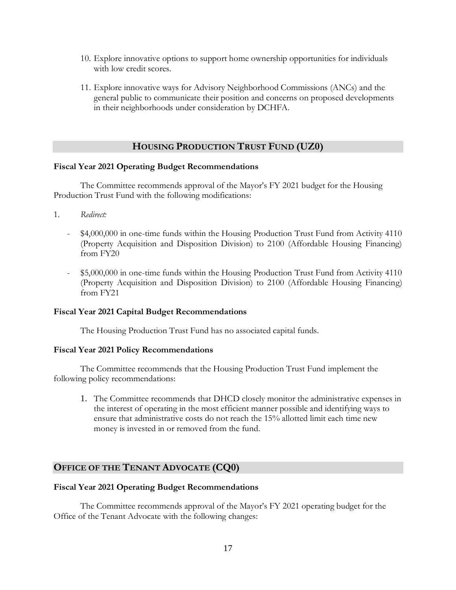- 10. Explore innovative options to support home ownership opportunities for individuals with low credit scores.
- 11. Explore innovative ways for Advisory Neighborhood Commissions (ANCs) and the general public to communicate their position and concerns on proposed developments in their neighborhoods under consideration by DCHFA.

# **HOUSING PRODUCTION TRUST FUND (UZ0)**

### **Fiscal Year 2021 Operating Budget Recommendations**

The Committee recommends approval of the Mayor's FY 2021 budget for the Housing Production Trust Fund with the following modifications:

- 1*. Redirect:*
	- \$4,000,000 in one-time funds within the Housing Production Trust Fund from Activity 4110 (Property Acquisition and Disposition Division) to 2100 (Affordable Housing Financing) from FY20
	- \$5,000,000 in one-time funds within the Housing Production Trust Fund from Activity 4110 (Property Acquisition and Disposition Division) to 2100 (Affordable Housing Financing) from FY21

### **Fiscal Year 2021 Capital Budget Recommendations**

The Housing Production Trust Fund has no associated capital funds.

### **Fiscal Year 2021 Policy Recommendations**

The Committee recommends that the Housing Production Trust Fund implement the following policy recommendations:

1. The Committee recommends that DHCD closely monitor the administrative expenses in the interest of operating in the most efficient manner possible and identifying ways to ensure that administrative costs do not reach the 15% allotted limit each time new money is invested in or removed from the fund.

# **OFFICE OF THE TENANT ADVOCATE (CQ0)**

### **Fiscal Year 2021 Operating Budget Recommendations**

The Committee recommends approval of the Mayor's FY 2021 operating budget for the Office of the Tenant Advocate with the following changes: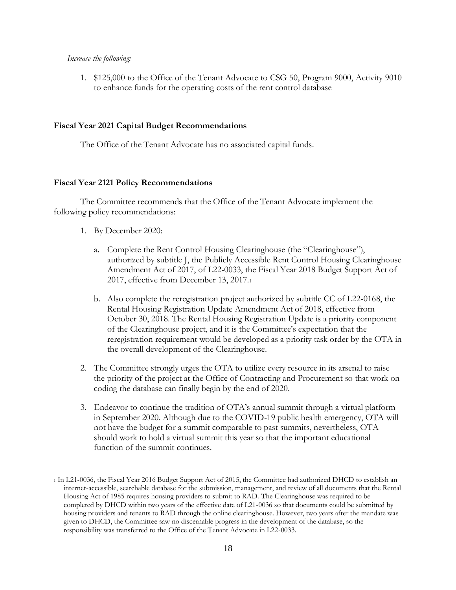#### *Increase the following:*

1. \$125,000 to the Office of the Tenant Advocate to CSG 50, Program 9000, Activity 9010 to enhance funds for the operating costs of the rent control database

#### **Fiscal Year 2021 Capital Budget Recommendations**

The Office of the Tenant Advocate has no associated capital funds.

### **Fiscal Year 2121 Policy Recommendations**

The Committee recommends that the Office of the Tenant Advocate implement the following policy recommendations:

- 1. By December 2020:
	- a. Complete the Rent Control Housing Clearinghouse (the "Clearinghouse"), authorized by subtitle J, the Publicly Accessible Rent Control Housing Clearinghouse Amendment Act of 2017, of L22-0033, the Fiscal Year 2018 Budget Support Act of 2017, effective from December 13, 2017.<sup>1</sup>
	- b. Also complete the reregistration project authorized by subtitle CC of L22-0168, the Rental Housing Registration Update Amendment Act of 2018, effective from October 30, 2018. The Rental Housing Registration Update is a priority component of the Clearinghouse project, and it is the Committee's expectation that the reregistration requirement would be developed as a priority task order by the OTA in the overall development of the Clearinghouse.
- 2. The Committee strongly urges the OTA to utilize every resource in its arsenal to raise the priority of the project at the Office of Contracting and Procurement so that work on coding the database can finally begin by the end of 2020.
- 3. Endeavor to continue the tradition of OTA's annual summit through a virtual platform in September 2020. Although due to the COVID-19 public health emergency, OTA will not have the budget for a summit comparable to past summits, nevertheless, OTA should work to hold a virtual summit this year so that the important educational function of the summit continues.

<sup>1</sup> In L21-0036, the Fiscal Year 2016 Budget Support Act of 2015, the Committee had authorized DHCD to establish an internet-accessible, searchable database for the submission, management, and review of all documents that the Rental Housing Act of 1985 requires housing providers to submit to RAD. The Clearinghouse was required to be completed by DHCD within two years of the effective date of L21-0036 so that documents could be submitted by housing providers and tenants to RAD through the online clearinghouse. However, two years after the mandate was given to DHCD, the Committee saw no discernable progress in the development of the database, so the responsibility was transferred to the Office of the Tenant Advocate in L22-0033.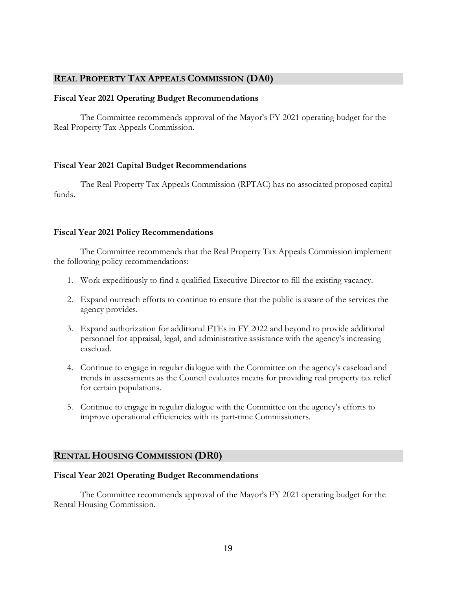# **REAL PROPERTY TAX APPEALS COMMISSION (DA0)**

### **Fiscal Year 2021 Operating Budget Recommendations**

The Committee recommends approval of the Mayor's FY 2021 operating budget for the Real Property Tax Appeals Commission.

### **Fiscal Year 2021 Capital Budget Recommendations**

The Real Property Tax Appeals Commission (RPTAC) has no associated proposed capital funds.

#### **Fiscal Year 2021 Policy Recommendations**

The Committee recommends that the Real Property Tax Appeals Commission implement the following policy recommendations:

- 1. Work expeditiously to find a qualified Executive Director to fill the existing vacancy.
- 2. Expand outreach efforts to continue to ensure that the public is aware of the services the agency provides.
- 3. Expand authorization for additional FTEs in FY 2022 and beyond to provide additional personnel for appraisal, legal, and administrative assistance with the agency's increasing caseload.
- 4. Continue to engage in regular dialogue with the Committee on the agency's caseload and trends in assessments as the Council evaluates means for providing real property tax relief for certain populations.
- 5. Continue to engage in regular dialogue with the Committee on the agency's efforts to improve operational efficiencies with its part-time Commissioners.

### **RENTAL HOUSING COMMISSION (DR0)**

### **Fiscal Year 2021 Operating Budget Recommendations**

The Committee recommends approval of the Mayor's FY 2021 operating budget for the Rental Housing Commission.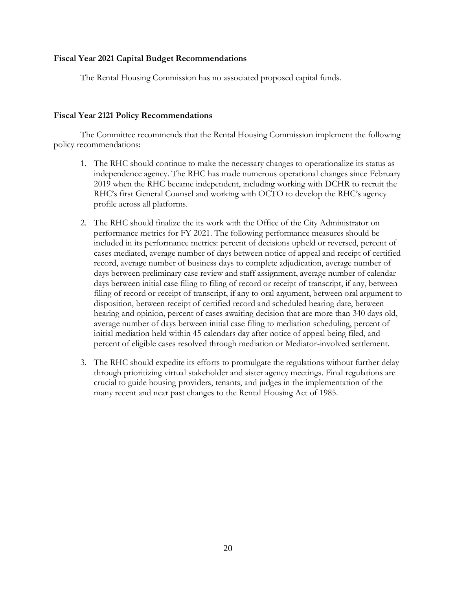### **Fiscal Year 2021 Capital Budget Recommendations**

The Rental Housing Commission has no associated proposed capital funds.

### **Fiscal Year 2121 Policy Recommendations**

The Committee recommends that the Rental Housing Commission implement the following policy recommendations:

- 1. The RHC should continue to make the necessary changes to operationalize its status as independence agency. The RHC has made numerous operational changes since February 2019 when the RHC became independent, including working with DCHR to recruit the RHC's first General Counsel and working with OCTO to develop the RHC's agency profile across all platforms.
- 2. The RHC should finalize the its work with the Office of the City Administrator on performance metrics for FY 2021. The following performance measures should be included in its performance metrics: percent of decisions upheld or reversed, percent of cases mediated, average number of days between notice of appeal and receipt of certified record, average number of business days to complete adjudication, average number of days between preliminary case review and staff assignment, average number of calendar days between initial case filing to filing of record or receipt of transcript, if any, between filing of record or receipt of transcript, if any to oral argument, between oral argument to disposition, between receipt of certified record and scheduled hearing date, between hearing and opinion, percent of cases awaiting decision that are more than 340 days old, average number of days between initial case filing to mediation scheduling, percent of initial mediation held within 45 calendars day after notice of appeal being filed, and percent of eligible cases resolved through mediation or Mediator-involved settlement.
- 3. The RHC should expedite its efforts to promulgate the regulations without further delay through prioritizing virtual stakeholder and sister agency meetings. Final regulations are crucial to guide housing providers, tenants, and judges in the implementation of the many recent and near past changes to the Rental Housing Act of 1985.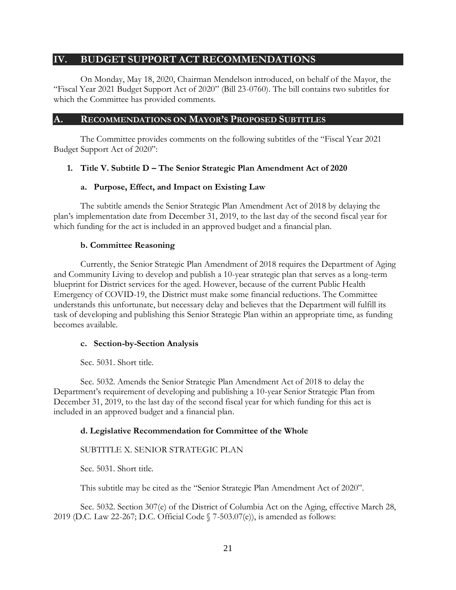# <span id="page-20-0"></span>**IV. BUDGET SUPPORT ACT RECOMMENDATIONS**

On Monday, May 18, 2020, Chairman Mendelson introduced, on behalf of the Mayor, the "Fiscal Year 2021 Budget Support Act of 2020" (Bill 23-0760). The bill contains two subtitles for which the Committee has provided comments.

# <span id="page-20-1"></span>**A. RECOMMENDATIONS ON MAYOR'S PROPOSED SUBTITLES**

The Committee provides comments on the following subtitles of the "Fiscal Year 2021 Budget Support Act of 2020":

# <span id="page-20-2"></span>**1. Title V. Subtitle D – The Senior Strategic Plan Amendment Act of 2020**

# **a. Purpose, Effect, and Impact on Existing Law**

The subtitle amends the Senior Strategic Plan Amendment Act of 2018 by delaying the plan's implementation date from December 31, 2019, to the last day of the second fiscal year for which funding for the act is included in an approved budget and a financial plan.

# **b. Committee Reasoning**

Currently, the Senior Strategic Plan Amendment of 2018 requires the Department of Aging and Community Living to develop and publish a 10-year strategic plan that serves as a long-term blueprint for District services for the aged. However, because of the current Public Health Emergency of COVID-19, the District must make some financial reductions. The Committee understands this unfortunate, but necessary delay and believes that the Department will fulfill its task of developing and publishing this Senior Strategic Plan within an appropriate time, as funding becomes available.

# **c. Section-by-Section Analysis**

Sec. 5031. Short title.

Sec. 5032. Amends the Senior Strategic Plan Amendment Act of 2018 to delay the Department's requirement of developing and publishing a 10-year Senior Strategic Plan from December 31, 2019, to the last day of the second fiscal year for which funding for this act is included in an approved budget and a financial plan.

# **d. Legislative Recommendation for Committee of the Whole**

# SUBTITLE X. SENIOR STRATEGIC PLAN

Sec. 5031. Short title.

This subtitle may be cited as the "Senior Strategic Plan Amendment Act of 2020".

Sec. 5032. Section 307(e) of the District of Columbia Act on the Aging, effective March 28, 2019 (D.C. Law 22-267; D.C. Official Code § 7-503.07(e)), is amended as follows: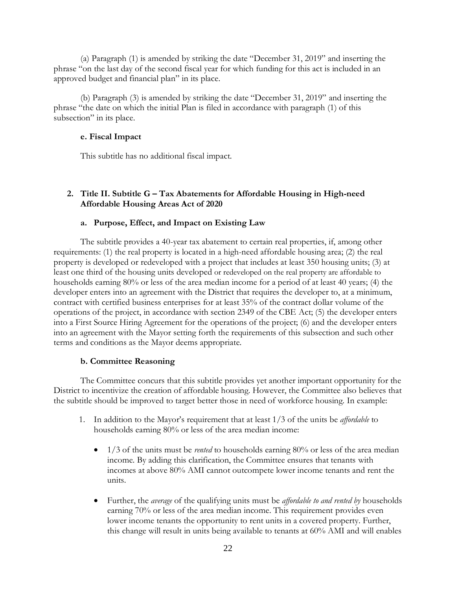(a) Paragraph (1) is amended by striking the date "December 31, 2019" and inserting the phrase "on the last day of the second fiscal year for which funding for this act is included in an approved budget and financial plan" in its place.

(b) Paragraph (3) is amended by striking the date "December 31, 2019" and inserting the phrase "the date on which the initial Plan is filed in accordance with paragraph (1) of this subsection" in its place.

### **e. Fiscal Impact**

This subtitle has no additional fiscal impact.

# <span id="page-21-0"></span>**2. Title II. Subtitle G – Tax Abatements for Affordable Housing in High-need Affordable Housing Areas Act of 2020**

### **a. Purpose, Effect, and Impact on Existing Law**

The subtitle provides a 40-year tax abatement to certain real properties, if, among other requirements: (1) the real property is located in a high-need affordable housing area; (2) the real property is developed or redeveloped with a project that includes at least 350 housing units; (3) at least one third of the housing units developed or redeveloped on the real property are affordable to households earning 80% or less of the area median income for a period of at least 40 years; (4) the developer enters into an agreement with the District that requires the developer to, at a minimum, contract with certified business enterprises for at least 35% of the contract dollar volume of the operations of the project, in accordance with section 2349 of the CBE Act; (5) the developer enters into a First Source Hiring Agreement for the operations of the project; (6) and the developer enters into an agreement with the Mayor setting forth the requirements of this subsection and such other terms and conditions as the Mayor deems appropriate.

# **b. Committee Reasoning**

The Committee concurs that this subtitle provides yet another important opportunity for the District to incentivize the creation of affordable housing. However, the Committee also believes that the subtitle should be improved to target better those in need of workforce housing. In example:

- 1. In addition to the Mayor's requirement that at least 1/3 of the units be *affordable* to households earning 80% or less of the area median income:
	- 1/3 of the units must be *rented* to households earning 80% or less of the area median income. By adding this clarification, the Committee ensures that tenants with incomes at above 80% AMI cannot outcompete lower income tenants and rent the units.
	- Further, the *average* of the qualifying units must be *affordable to and rented by* households earning 70% or less of the area median income. This requirement provides even lower income tenants the opportunity to rent units in a covered property. Further, this change will result in units being available to tenants at 60% AMI and will enables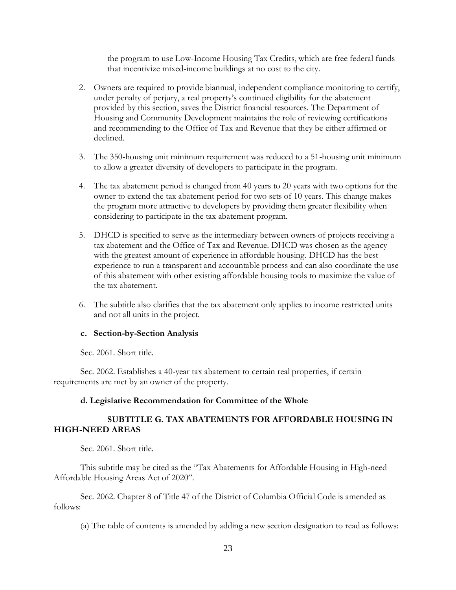the program to use Low-Income Housing Tax Credits, which are free federal funds that incentivize mixed-income buildings at no cost to the city.

- 2. Owners are required to provide biannual, independent compliance monitoring to certify, under penalty of perjury, a real property's continued eligibility for the abatement provided by this section, saves the District financial resources. The Department of Housing and Community Development maintains the role of reviewing certifications and recommending to the Office of Tax and Revenue that they be either affirmed or declined.
- 3. The 350-housing unit minimum requirement was reduced to a 51-housing unit minimum to allow a greater diversity of developers to participate in the program.
- 4. The tax abatement period is changed from 40 years to 20 years with two options for the owner to extend the tax abatement period for two sets of 10 years. This change makes the program more attractive to developers by providing them greater flexibility when considering to participate in the tax abatement program.
- 5. DHCD is specified to serve as the intermediary between owners of projects receiving a tax abatement and the Office of Tax and Revenue. DHCD was chosen as the agency with the greatest amount of experience in affordable housing. DHCD has the best experience to run a transparent and accountable process and can also coordinate the use of this abatement with other existing affordable housing tools to maximize the value of the tax abatement.
- 6. The subtitle also clarifies that the tax abatement only applies to income restricted units and not all units in the project.

### **c. Section-by-Section Analysis**

Sec. 2061. Short title.

Sec. 2062. Establishes a 40-year tax abatement to certain real properties, if certain requirements are met by an owner of the property.

### **d. Legislative Recommendation for Committee of the Whole**

# **SUBTITLE G. TAX ABATEMENTS FOR AFFORDABLE HOUSING IN HIGH-NEED AREAS**

Sec. 2061. Short title.

This subtitle may be cited as the "Tax Abatements for Affordable Housing in High-need Affordable Housing Areas Act of 2020".

Sec. 2062. Chapter 8 of Title 47 of the District of Columbia Official Code is amended as follows:

(a) The table of contents is amended by adding a new section designation to read as follows: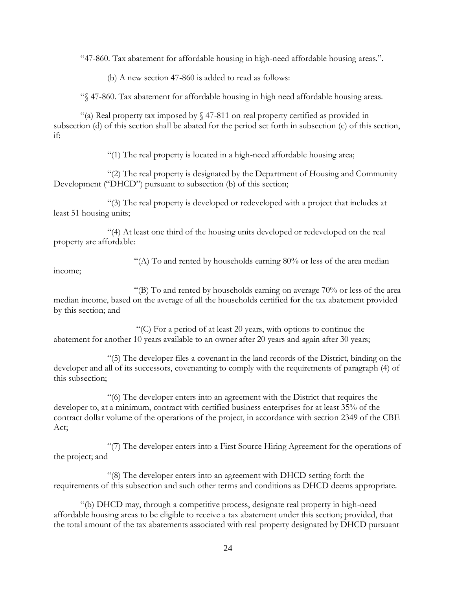"47-860. Tax abatement for affordable housing in high-need affordable housing areas.".

(b) A new section 47-860 is added to read as follows:

"§ 47-860. Tax abatement for affordable housing in high need affordable housing areas.

"(a) Real property tax imposed by  $\S$  47-811 on real property certified as provided in subsection (d) of this section shall be abated for the period set forth in subsection (c) of this section, if:

"(1) The real property is located in a high-need affordable housing area;

"(2) The real property is designated by the Department of Housing and Community Development ("DHCD") pursuant to subsection (b) of this section;

"(3) The real property is developed or redeveloped with a project that includes at least 51 housing units;

"(4) At least one third of the housing units developed or redeveloped on the real property are affordable:

"(A) To and rented by households earning  $80\%$  or less of the area median

income;

"(B) To and rented by households earning on average  $70\%$  or less of the area median income, based on the average of all the households certified for the tax abatement provided by this section; and

"(C) For a period of at least 20 years, with options to continue the abatement for another 10 years available to an owner after 20 years and again after 30 years;

"(5) The developer files a covenant in the land records of the District, binding on the developer and all of its successors, covenanting to comply with the requirements of paragraph (4) of this subsection;

"(6) The developer enters into an agreement with the District that requires the developer to, at a minimum, contract with certified business enterprises for at least 35% of the contract dollar volume of the operations of the project, in accordance with section 2349 of the CBE Act;

"(7) The developer enters into a First Source Hiring Agreement for the operations of the project; and

"(8) The developer enters into an agreement with DHCD setting forth the requirements of this subsection and such other terms and conditions as DHCD deems appropriate.

"(b) DHCD may, through a competitive process, designate real property in high-need affordable housing areas to be eligible to receive a tax abatement under this section; provided, that the total amount of the tax abatements associated with real property designated by DHCD pursuant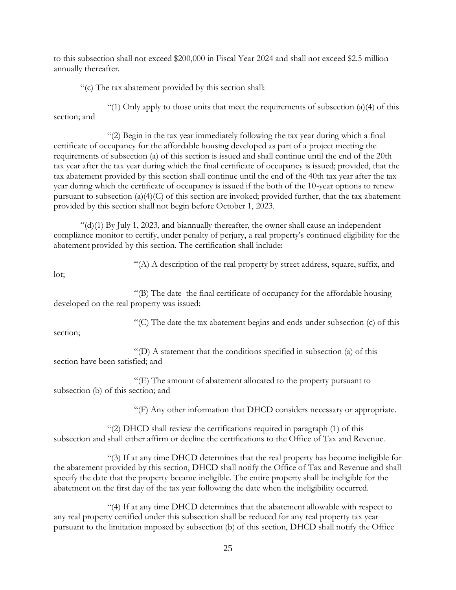to this subsection shall not exceed \$200,000 in Fiscal Year 2024 and shall not exceed \$2.5 million annually thereafter.

"(c) The tax abatement provided by this section shall:

"(1) Only apply to those units that meet the requirements of subsection  $(a)(4)$  of this section; and

"(2) Begin in the tax year immediately following the tax year during which a final certificate of occupancy for the affordable housing developed as part of a project meeting the requirements of subsection (a) of this section is issued and shall continue until the end of the 20th tax year after the tax year during which the final certificate of occupancy is issued; provided, that the tax abatement provided by this section shall continue until the end of the 40th tax year after the tax year during which the certificate of occupancy is issued if the both of the 10-year options to renew pursuant to subsection (a)(4)(C) of this section are invoked; provided further, that the tax abatement provided by this section shall not begin before October 1, 2023.

 $((d)(1)$  By July 1, 2023, and biannually thereafter, the owner shall cause an independent compliance monitor to certify, under penalty of perjury, a real property's continued eligibility for the abatement provided by this section. The certification shall include:

"(A) A description of the real property by street address, square, suffix, and

lot;

"(B) The date the final certificate of occupancy for the affordable housing developed on the real property was issued;

"(C) The date the tax abatement begins and ends under subsection (c) of this

section;

"(D) A statement that the conditions specified in subsection (a) of this section have been satisfied; and

"(E) The amount of abatement allocated to the property pursuant to subsection (b) of this section; and

"(F) Any other information that DHCD considers necessary or appropriate.

"(2) DHCD shall review the certifications required in paragraph (1) of this subsection and shall either affirm or decline the certifications to the Office of Tax and Revenue.

"(3) If at any time DHCD determines that the real property has become ineligible for the abatement provided by this section, DHCD shall notify the Office of Tax and Revenue and shall specify the date that the property became ineligible. The entire property shall be ineligible for the abatement on the first day of the tax year following the date when the ineligibility occurred.

"(4) If at any time DHCD determines that the abatement allowable with respect to any real property certified under this subsection shall be reduced for any real property tax year pursuant to the limitation imposed by subsection (b) of this section, DHCD shall notify the Office